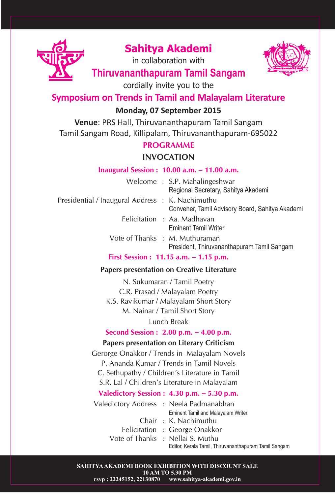

# **Sahitya Akademi**

in collaboration with



# **Thiruvananthapuram Tamil Sangam**

cordially invite you to the

## **Symposium on Trends in Tamil and Malayalam Literature**

## **Monday, 07 September 2015**

**Venue**: PRS Hall, Thiruvananthapuram Tamil Sangam Tamil Sangam Road, Killipalam, Thiruvananthapuram-695022

## **PROGRAMME**

## **INVOCATION**

#### **Inaugural Session : 10.00 a.m. – 11.00 a.m.**

|                                                  | Welcome: S.P. Mahalingeshwar<br>Regional Secretary, Sahitya Akademi          |
|--------------------------------------------------|------------------------------------------------------------------------------|
| Presidential / Inaugural Address : K. Nachimuthu | Convener, Tamil Advisory Board, Sahitya Akademi                              |
|                                                  | Felicitation: Aa. Madhavan<br><b>Eminent Tamil Writer</b>                    |
|                                                  | Vote of Thanks : M. Muthuraman<br>President, Thiruvananthapuram Tamil Sangam |

**First Session : 11.15 a.m. – 1.15 p.m.**

#### **Papers presentation on Creative Literature**

N. Sukumaran / Tamil Poetry C.R. Prasad / Malayalam Poetry K.S. Ravikumar / Malayalam Short Story M. Nainar / Tamil Short Story Lunch Break

**Second Session : 2.00 p.m. – 4.00 p.m.**

### **Papers presentation on Literary Criticism**

Gerorge Onakkor / Trends in Malayalam Novels

P. Ananda Kumar / Trends in Tamil Novels

C. Sethupathy / Children's Literature in Tamil

S.R. Lal / Children's Literature in Malayalam

## **Valedictory Session : 4.30 p.m. – 5.30 p.m.**

Valedictory Address : Neela Padmanabhan Eminent Tamil and Malayalam Writer Chair : K. Nachimuthu

- Felicitation : George Onakkor
- Vote of Thanks : Nellai S. Muthu

Editor, Kerala Tamil, Thiruvananthapuram Tamil Sangam

SAHITYA AKADEMI BOOK EXHIBITION WITH DISCOUNT SALE 10 AM TO 5.30 PM rsvp: 22245152, 22130870 www.sahitya-akademi.gov.in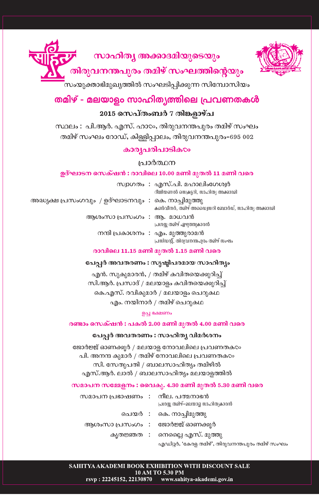

## സാഹിത്യ അക്കാദമിയുടെയും

തിരുവനന്തപുരം തമിഴ് സംഘത്തിന്റെയും

.<br>സംയുക്താഭിമുഖ്യത്തിൽ സംഘടിപ്പിക്കുന്ന സിമ്പോസിയം

## തമിഴ് - മലയാളം സാഹിത്യത്തിലെ പ്രവണതകൾ 2015 സെപ്തംബർ 7 തിങ്കളാഴ്ച

സ്ഥലം : പി.ആർ. എസ്. ഹാ $\infty$ , തിരുവനന്തപുരം തമിഴ് സംഘം തമിഴ് സംഘം റോഡ്, കിള്ളിപ്പാലം, തിരുവനന്തപുരം–695 002

## കാരൃപരിപാടിക $\infty$

### പ്രാർത്ഥന

#### ഉദ്ഘാടന സെക്ഷൻ : രാവിലെ 10.00 മണി മുതൽ 11 മണി വരെ

|                                                        |  | സ്വാഗതം : എസ്.പി. മഹാലിംഗേശ്വർ<br>റീജിയണൽ സെക്രട്ടറി, സാഹിത്യ അക്കാദമി    |  |  |  |  |
|--------------------------------------------------------|--|---------------------------------------------------------------------------|--|--|--|--|
| അദ്ധ്യക്ഷ പ്രസംഗവും  / ഉദ്ഘാടനവും  :  കെ. നാച്ചിമുത്തു |  | കൺവീനർ, തമിഴ് അഡ്വൈസറി ബോർഡ്, സാഹിത്യ അക്കാദമി                            |  |  |  |  |
| ആശംസാ പ്രസംഗം : ആ. മാധവൻ                               |  | പ്രശസ്സ തമിഴ് എഴുത്തുകാരൻ                                                 |  |  |  |  |
|                                                        |  | നന്ദി പ്രകാശനം  :  എം. മുത്തുരാമൻ<br>പ്രസിഡന്റ്, തിരുവനന്തപുരം തമിഴ് സംഘം |  |  |  |  |
| രാവിലെ 11.15 മണി മുതൽ 1.15 മണി വരെ                     |  |                                                                           |  |  |  |  |

#### പേപ്പർ അവതരണം : സൃഷ്ടിപരമായ സാഹിത്യം

എൻ. സുകുമാരൻ, / തമിഴ് കവിതയെക്കുറിച്ച് സി.ആർ. പ്രസാദ് / മലയാളം കവിതയെക്കുറിച്ച് കെ.എസ്. രവികുമാർ / മലയാളം ചെറുകഥ എം. നയിനാർ / തമിഴ് ചെറുകഥ

#### ഉച്ച ഭക്ഷണം

#### രണ്ടാം സെക്ഷൻ : പകൽ 2.00 മണി മുതൽ 4.00 മണി വരെ

#### പേപ്പർ അവതരണം : സാഹിതൃ വിമർശനം

ജോർജ്ജ് ഓണക്കൂർ / മലയാള നോവലിലെ പ്രവണതക $\infty$ പി. അനന്ദ കുമാർ / തമിഴ് നോവലിലെ പ്രവണതക $\infty$ സി. സേതുപതി / ബാലസാഹിത്യം തമിഴിൽ എസ്.ആർ. ലാൽ / ബാലസാഹിത്യം മലയാളത്തിൽ

#### സമാപന സമ്മേളനം : വൈകു. 4.30 മണി മുതൽ 5.30 മണി വരെ

| സമാപന പ്രഭാഷണം : നീല. പത്മനാഭൻ | പ്രശസ്സ തമിഴ്–മലയാദ് സാഹിത്യകാരൻ                |
|--------------------------------|-------------------------------------------------|
|                                | ചെയർ : കെ. നാച്ചിമുത്തു                         |
|                                | ആശംസാ പ്രസംഗം   :     ജോർജ്ജ് ഓണക്കുർ           |
|                                | കൃതജ്ഞത : നെല്ലൈ എസ്. മുത്തു                    |
|                                | എഡിറ്റർ, 'കേരള തമിഴ്', തിരുവനന്തപുരം തമിഴ് സംഘം |